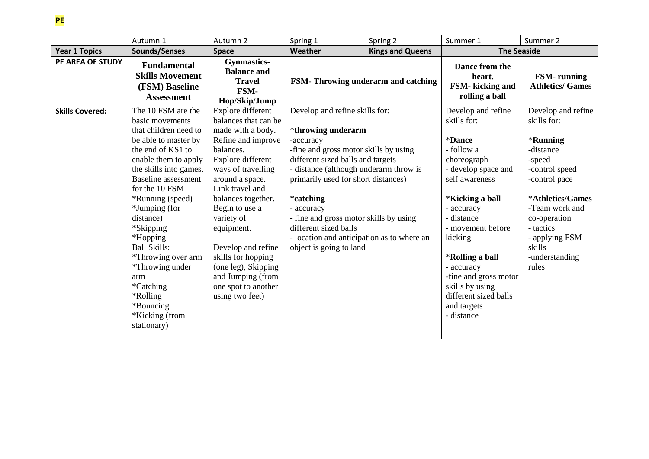## **PE**

|                        | Autumn 1                                                                                                                                                                                                                                                                                                                                                                                 | Autumn 2                                                                                                                                                                                                                                                                                                                                                                                 | Spring 1                                                                                                                                                                                                                                                                                                                                                                                                | Spring 2 | Summer 1                                                                                                                                                                                                                                                                                                                                         | Summer 2                                                                                                                                                                                                                          |
|------------------------|------------------------------------------------------------------------------------------------------------------------------------------------------------------------------------------------------------------------------------------------------------------------------------------------------------------------------------------------------------------------------------------|------------------------------------------------------------------------------------------------------------------------------------------------------------------------------------------------------------------------------------------------------------------------------------------------------------------------------------------------------------------------------------------|---------------------------------------------------------------------------------------------------------------------------------------------------------------------------------------------------------------------------------------------------------------------------------------------------------------------------------------------------------------------------------------------------------|----------|--------------------------------------------------------------------------------------------------------------------------------------------------------------------------------------------------------------------------------------------------------------------------------------------------------------------------------------------------|-----------------------------------------------------------------------------------------------------------------------------------------------------------------------------------------------------------------------------------|
| <b>Year 1 Topics</b>   | Sounds/Senses                                                                                                                                                                                                                                                                                                                                                                            | <b>Space</b>                                                                                                                                                                                                                                                                                                                                                                             | Weather<br><b>Kings and Queens</b>                                                                                                                                                                                                                                                                                                                                                                      |          | <b>The Seaside</b>                                                                                                                                                                                                                                                                                                                               |                                                                                                                                                                                                                                   |
| PE AREA OF STUDY       | <b>Fundamental</b><br><b>Skills Movement</b><br>(FSM) Baseline<br><b>Assessment</b>                                                                                                                                                                                                                                                                                                      | <b>Gymnastics-</b><br><b>Balance and</b><br><b>Travel</b><br>FSM-<br>Hop/Skip/Jump                                                                                                                                                                                                                                                                                                       | FSM-Throwing underarm and catching                                                                                                                                                                                                                                                                                                                                                                      |          | Dance from the<br>heart.<br>FSM- kicking and<br>rolling a ball                                                                                                                                                                                                                                                                                   | <b>FSM-</b> running<br><b>Athletics/ Games</b>                                                                                                                                                                                    |
| <b>Skills Covered:</b> | The 10 FSM are the<br>basic movements<br>that children need to<br>be able to master by<br>the end of KS1 to<br>enable them to apply<br>the skills into games.<br><b>Baseline</b> assessment<br>for the 10 FSM<br>*Running (speed)<br>*Jumping (for<br>distance)<br>*Skipping<br>*Hopping<br><b>Ball Skills:</b><br>*Throwing over arm<br>*Throwing under<br>arm<br>*Catching<br>*Rolling | Explore different<br>balances that can be<br>made with a body.<br>Refine and improve<br>balances.<br>Explore different<br>ways of travelling<br>around a space.<br>Link travel and<br>balances together.<br>Begin to use a<br>variety of<br>equipment.<br>Develop and refine<br>skills for hopping<br>(one leg), Skipping<br>and Jumping (from<br>one spot to another<br>using two feet) | Develop and refine skills for:<br>*throwing underarm<br>-accuracy<br>-fine and gross motor skills by using<br>different sized balls and targets<br>- distance (although underarm throw is<br>primarily used for short distances)<br>*catching<br>- accuracy<br>- fine and gross motor skills by using<br>different sized balls<br>- location and anticipation as to where an<br>object is going to land |          | Develop and refine<br>skills for:<br><i><b>*Dance</b></i><br>- follow a<br>choreograph<br>- develop space and<br>self awareness<br><i><b>*Kicking a ball</b></i><br>- accuracy<br>- distance<br>- movement before<br>kicking<br><i><b>*Rolling a ball</b></i><br>- accuracy<br>-fine and gross motor<br>skills by using<br>different sized balls | Develop and refine<br>skills for:<br>*Running<br>-distance<br>-speed<br>-control speed<br>-control pace<br>*Athletics/Games<br>-Team work and<br>co-operation<br>- tactics<br>- applying FSM<br>skills<br>-understanding<br>rules |
|                        | *Bouncing<br>*Kicking (from<br>stationary)                                                                                                                                                                                                                                                                                                                                               |                                                                                                                                                                                                                                                                                                                                                                                          |                                                                                                                                                                                                                                                                                                                                                                                                         |          | and targets<br>- distance                                                                                                                                                                                                                                                                                                                        |                                                                                                                                                                                                                                   |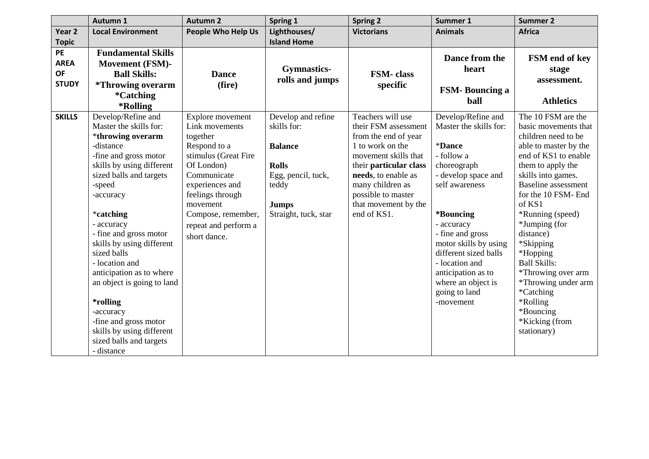|                   | Autumn 1                        | <b>Autumn 2</b>           | Spring 1             | <b>Spring 2</b>        | Summer 1               | <b>Summer 2</b>            |
|-------------------|---------------------------------|---------------------------|----------------------|------------------------|------------------------|----------------------------|
| Year <sub>2</sub> | <b>Local Environment</b>        | <b>People Who Help Us</b> | Lighthouses/         | <b>Victorians</b>      | <b>Animals</b>         | <b>Africa</b>              |
| <b>Topic</b>      |                                 |                           | <b>Island Home</b>   |                        |                        |                            |
| PE                | <b>Fundamental Skills</b>       |                           |                      |                        |                        |                            |
| <b>AREA</b>       | <b>Movement (FSM)-</b>          |                           |                      |                        | Dance from the         | FSM end of key             |
| <b>OF</b>         | <b>Ball Skills:</b>             | <b>Dance</b>              | <b>Gymnastics-</b>   | <b>FSM-</b> class      | heart                  | stage                      |
| <b>STUDY</b>      | <i><b>*Throwing overarm</b></i> | (fire)                    | rolls and jumps      | specific               |                        | assessment.                |
|                   | <i>*</i> Catching               |                           |                      |                        | <b>FSM-Bouncing a</b>  |                            |
|                   | *Rolling                        |                           |                      |                        | ball                   | <b>Athletics</b>           |
| <b>SKILLS</b>     | Develop/Refine and              | Explore movement          | Develop and refine   | Teachers will use      | Develop/Refine and     | The 10 FSM are the         |
|                   | Master the skills for:          | Link movements            | skills for:          | their FSM assessment   | Master the skills for: | basic movements that       |
|                   | *throwing overarm               | together                  |                      | from the end of year   |                        | children need to be        |
|                   | -distance                       | Respond to a              | <b>Balance</b>       | 1 to work on the       | *Dance                 | able to master by the      |
|                   | -fine and gross motor           | stimulus (Great Fire      |                      | movement skills that   | - follow a             | end of KS1 to enable       |
|                   | skills by using different       | Of London)                | <b>Rolls</b>         | their particular class | choreograph            | them to apply the          |
|                   | sized balls and targets         | Communicate               | Egg, pencil, tuck,   | needs, to enable as    | - develop space and    | skills into games.         |
|                   | -speed                          | experiences and           | teddy                | many children as       | self awareness         | <b>Baseline</b> assessment |
|                   | -accuracy                       | feelings through          |                      | possible to master     |                        | for the 10 FSM- End        |
|                   |                                 | movement                  | <b>Jumps</b>         | that movement by the   |                        | of KS1                     |
|                   | *catching                       | Compose, remember,        | Straight, tuck, star | end of KS1.            | *Bouncing              | *Running (speed)           |
|                   | - accuracy                      | repeat and perform a      |                      |                        | - accuracy             | *Jumping (for              |
|                   | - fine and gross motor          | short dance.              |                      |                        | - fine and gross       | distance)                  |
|                   | skills by using different       |                           |                      |                        | motor skills by using  | *Skipping                  |
|                   | sized balls                     |                           |                      |                        | different sized balls  | *Hopping                   |
|                   | - location and                  |                           |                      |                        | - location and         | <b>Ball Skills:</b>        |
|                   | anticipation as to where        |                           |                      |                        | anticipation as to     | *Throwing over arm         |
|                   | an object is going to land      |                           |                      |                        | where an object is     | *Throwing under arm        |
|                   |                                 |                           |                      |                        | going to land          | *Catching                  |
|                   | *rolling<br>-accuracy           |                           |                      |                        | -movement              | *Rolling<br>*Bouncing      |
|                   | -fine and gross motor           |                           |                      |                        |                        | *Kicking (from             |
|                   | skills by using different       |                           |                      |                        |                        | stationary)                |
|                   | sized balls and targets         |                           |                      |                        |                        |                            |
|                   | - distance                      |                           |                      |                        |                        |                            |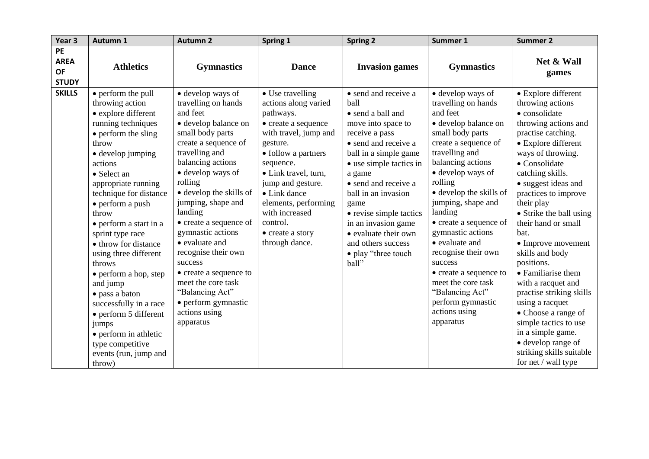| Year <sub>3</sub>                                     | Autumn 1                                                                                                                                                                                                                                                                                                                                                                                                                                                                                                                                                            | <b>Autumn 2</b>                                                                                                                                                                                                                                                                                                                                                                                                                                                                        | Spring 1                                                                                                                                                                                                                                                                                                       | <b>Spring 2</b>                                                                                                                                                                                                                                                                                                                                                        | Summer 1                                                                                                                                                                                                                                                                                                                                                                                                                                                                             | <b>Summer 2</b>                                                                                                                                                                                                                                                                                                                                                                                                                                                                                                                                                                                                |
|-------------------------------------------------------|---------------------------------------------------------------------------------------------------------------------------------------------------------------------------------------------------------------------------------------------------------------------------------------------------------------------------------------------------------------------------------------------------------------------------------------------------------------------------------------------------------------------------------------------------------------------|----------------------------------------------------------------------------------------------------------------------------------------------------------------------------------------------------------------------------------------------------------------------------------------------------------------------------------------------------------------------------------------------------------------------------------------------------------------------------------------|----------------------------------------------------------------------------------------------------------------------------------------------------------------------------------------------------------------------------------------------------------------------------------------------------------------|------------------------------------------------------------------------------------------------------------------------------------------------------------------------------------------------------------------------------------------------------------------------------------------------------------------------------------------------------------------------|--------------------------------------------------------------------------------------------------------------------------------------------------------------------------------------------------------------------------------------------------------------------------------------------------------------------------------------------------------------------------------------------------------------------------------------------------------------------------------------|----------------------------------------------------------------------------------------------------------------------------------------------------------------------------------------------------------------------------------------------------------------------------------------------------------------------------------------------------------------------------------------------------------------------------------------------------------------------------------------------------------------------------------------------------------------------------------------------------------------|
| <b>PE</b><br><b>AREA</b><br><b>OF</b><br><b>STUDY</b> | <b>Athletics</b>                                                                                                                                                                                                                                                                                                                                                                                                                                                                                                                                                    | <b>Gymnastics</b>                                                                                                                                                                                                                                                                                                                                                                                                                                                                      | <b>Dance</b>                                                                                                                                                                                                                                                                                                   | <b>Invasion games</b>                                                                                                                                                                                                                                                                                                                                                  | <b>Gymnastics</b>                                                                                                                                                                                                                                                                                                                                                                                                                                                                    | Net & Wall<br>games                                                                                                                                                                                                                                                                                                                                                                                                                                                                                                                                                                                            |
| <b>SKILLS</b>                                         | • perform the pull<br>throwing action<br>• explore different<br>running techniques<br>• perform the sling<br>throw<br>• develop jumping<br>actions<br>• Select an<br>appropriate running<br>technique for distance<br>• perform a push<br>throw<br>• perform a start in a<br>sprint type race<br>• throw for distance<br>using three different<br>throws<br>• perform a hop, step<br>and jump<br>• pass a baton<br>successfully in a race<br>$\bullet$ perform 5 different<br>jumps<br>• perform in athletic<br>type competitive<br>events (run, jump and<br>throw) | • develop ways of<br>travelling on hands<br>and feet<br>· develop balance on<br>small body parts<br>create a sequence of<br>travelling and<br>balancing actions<br>• develop ways of<br>rolling<br>• develop the skills of<br>jumping, shape and<br>landing<br>• create a sequence of<br>gymnastic actions<br>• evaluate and<br>recognise their own<br>success<br>• create a sequence to<br>meet the core task<br>"Balancing Act"<br>• perform gymnastic<br>actions using<br>apparatus | • Use travelling<br>actions along varied<br>pathways.<br>• create a sequence<br>with travel, jump and<br>gesture.<br>• follow a partners<br>sequence.<br>• Link travel, turn,<br>jump and gesture.<br>• Link dance<br>elements, performing<br>with increased<br>control.<br>• create a story<br>through dance. | • send and receive a<br>ball<br>• send a ball and<br>move into space to<br>receive a pass<br>• send and receive a<br>ball in a simple game<br>• use simple tactics in<br>a game<br>• send and receive a<br>ball in an invasion<br>game<br>• revise simple tactics<br>in an invasion game<br>• evaluate their own<br>and others success<br>• play "three touch<br>ball" | • develop ways of<br>travelling on hands<br>and feet<br>· develop balance on<br>small body parts<br>create a sequence of<br>travelling and<br>balancing actions<br>• develop ways of<br>rolling<br>• develop the skills of<br>jumping, shape and<br>landing<br>• create a sequence of<br>gymnastic actions<br>• evaluate and<br>recognise their own<br>success<br>• create a sequence to<br>meet the core task<br>"Balancing Act"<br>perform gymnastic<br>actions using<br>apparatus | • Explore different<br>throwing actions<br>• consolidate<br>throwing actions and<br>practise catching.<br>• Explore different<br>ways of throwing.<br>• Consolidate<br>catching skills.<br>• suggest ideas and<br>practices to improve<br>their play<br>• Strike the ball using<br>their hand or small<br>bat.<br>• Improve movement<br>skills and body<br>positions.<br>• Familiarise them<br>with a racquet and<br>practise striking skills<br>using a racquet<br>• Choose a range of<br>simple tactics to use<br>in a simple game.<br>• develop range of<br>striking skills suitable<br>for net / wall type |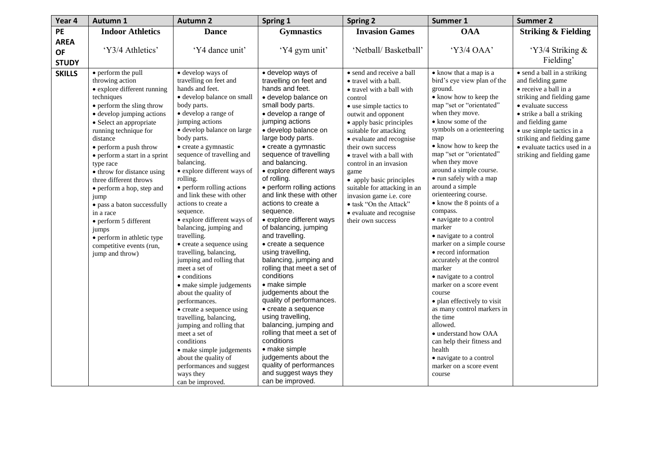| Year 4        | Autumn 1                                                                                                                                                                                                                                                                                                               | <b>Autumn 2</b>                                                                                                                                                                                                                                                                                                                                                                                                                                                                                                                                                                                | Spring 1                                                                                                                                                                                                                                                                                                                                                                                                                                                                                                                                                                                     | <b>Spring 2</b>                                                                                                                                                                                                                                                                                                   | Summer 1                                                                                                                                                                                                                                                                                                                                                                                                                                                                                                                         | <b>Summer 2</b>                                                                                                                                                                                                                                                                    |
|---------------|------------------------------------------------------------------------------------------------------------------------------------------------------------------------------------------------------------------------------------------------------------------------------------------------------------------------|------------------------------------------------------------------------------------------------------------------------------------------------------------------------------------------------------------------------------------------------------------------------------------------------------------------------------------------------------------------------------------------------------------------------------------------------------------------------------------------------------------------------------------------------------------------------------------------------|----------------------------------------------------------------------------------------------------------------------------------------------------------------------------------------------------------------------------------------------------------------------------------------------------------------------------------------------------------------------------------------------------------------------------------------------------------------------------------------------------------------------------------------------------------------------------------------------|-------------------------------------------------------------------------------------------------------------------------------------------------------------------------------------------------------------------------------------------------------------------------------------------------------------------|----------------------------------------------------------------------------------------------------------------------------------------------------------------------------------------------------------------------------------------------------------------------------------------------------------------------------------------------------------------------------------------------------------------------------------------------------------------------------------------------------------------------------------|------------------------------------------------------------------------------------------------------------------------------------------------------------------------------------------------------------------------------------------------------------------------------------|
| PE            | <b>Indoor Athletics</b>                                                                                                                                                                                                                                                                                                | <b>Dance</b>                                                                                                                                                                                                                                                                                                                                                                                                                                                                                                                                                                                   | <b>Gymnastics</b>                                                                                                                                                                                                                                                                                                                                                                                                                                                                                                                                                                            | <b>Invasion Games</b>                                                                                                                                                                                                                                                                                             | <b>OAA</b>                                                                                                                                                                                                                                                                                                                                                                                                                                                                                                                       | <b>Striking &amp; Fielding</b>                                                                                                                                                                                                                                                     |
| <b>AREA</b>   |                                                                                                                                                                                                                                                                                                                        |                                                                                                                                                                                                                                                                                                                                                                                                                                                                                                                                                                                                |                                                                                                                                                                                                                                                                                                                                                                                                                                                                                                                                                                                              |                                                                                                                                                                                                                                                                                                                   |                                                                                                                                                                                                                                                                                                                                                                                                                                                                                                                                  |                                                                                                                                                                                                                                                                                    |
| <b>OF</b>     | 'Y3/4 Athletics'                                                                                                                                                                                                                                                                                                       | 'Y4 dance unit'                                                                                                                                                                                                                                                                                                                                                                                                                                                                                                                                                                                | 'Y4 gym unit'                                                                                                                                                                                                                                                                                                                                                                                                                                                                                                                                                                                | 'Netball/Basketball'                                                                                                                                                                                                                                                                                              | 'Y3/4 OAA'                                                                                                                                                                                                                                                                                                                                                                                                                                                                                                                       | 'Y3/4 Striking &                                                                                                                                                                                                                                                                   |
| <b>STUDY</b>  |                                                                                                                                                                                                                                                                                                                        |                                                                                                                                                                                                                                                                                                                                                                                                                                                                                                                                                                                                |                                                                                                                                                                                                                                                                                                                                                                                                                                                                                                                                                                                              |                                                                                                                                                                                                                                                                                                                   |                                                                                                                                                                                                                                                                                                                                                                                                                                                                                                                                  | Fielding'                                                                                                                                                                                                                                                                          |
| <b>SKILLS</b> | • perform the pull                                                                                                                                                                                                                                                                                                     | • develop ways of                                                                                                                                                                                                                                                                                                                                                                                                                                                                                                                                                                              | · develop ways of                                                                                                                                                                                                                                                                                                                                                                                                                                                                                                                                                                            | • send and receive a ball                                                                                                                                                                                                                                                                                         | • know that a map is a                                                                                                                                                                                                                                                                                                                                                                                                                                                                                                           | • send a ball in a striking                                                                                                                                                                                                                                                        |
|               | throwing action<br>• explore different running<br>techniques<br>• perform the sling throw<br>• develop jumping actions<br>• Select an appropriate<br>running technique for<br>distance<br>• perform a push throw<br>• perform a start in a sprint<br>type race<br>• throw for distance using<br>three different throws | travelling on feet and<br>hands and feet.<br>· develop balance on small<br>body parts.<br>• develop a range of<br>jumping actions<br>· develop balance on large<br>body parts.<br>• create a gymnastic<br>sequence of travelling and<br>balancing.<br>• explore different ways of<br>rolling.                                                                                                                                                                                                                                                                                                  | travelling on feet and<br>hands and feet.<br>· develop balance on<br>small body parts.<br>• develop a range of<br>jumping actions<br>· develop balance on<br>large body parts.<br>• create a gymnastic<br>sequence of travelling<br>and balancing.<br>• explore different ways<br>of rolling.                                                                                                                                                                                                                                                                                                | • travel with a ball.<br>• travel with a ball with<br>control<br>• use simple tactics to<br>outwit and opponent<br>• apply basic principles<br>suitable for attacking<br>• evaluate and recognise<br>their own success<br>• travel with a ball with<br>control in an invasion<br>game<br>• apply basic principles | bird's eye view plan of the<br>ground.<br>• know how to keep the<br>map "set or "orientated"<br>when they move.<br>• know some of the<br>symbols on a orienteering<br>map<br>• know how to keep the<br>map "set or "orientated"<br>when they move<br>around a simple course.<br>• run safely with a map                                                                                                                                                                                                                          | and fielding game<br>$\bullet$ receive a ball in a<br>striking and fielding game<br>• evaluate success<br>• strike a ball a striking<br>and fielding game<br>• use simple tactics in a<br>striking and fielding game<br>· evaluate tactics used in a<br>striking and fielding game |
|               | • perform a hop, step and<br>jump<br>• pass a baton successfully<br>in a race<br>• perform 5 different<br>jumps<br>• perform in athletic type<br>competitive events (run,<br>jump and throw)                                                                                                                           | • perform rolling actions<br>and link these with other<br>actions to create a<br>sequence.<br>• explore different ways of<br>balancing, jumping and<br>travelling.<br>• create a sequence using<br>travelling, balancing,<br>jumping and rolling that<br>meet a set of<br>• conditions<br>• make simple judgements<br>about the quality of<br>performances.<br>• create a sequence using<br>travelling, balancing,<br>jumping and rolling that<br>meet a set of<br>conditions<br>• make simple judgements<br>about the quality of<br>performances and suggest<br>ways they<br>can be improved. | • perform rolling actions<br>and link these with other<br>actions to create a<br>sequence.<br>• explore different ways<br>of balancing, jumping<br>and travelling.<br>• create a sequence<br>using travelling,<br>balancing, jumping and<br>rolling that meet a set of<br>conditions<br>• make simple<br>judgements about the<br>quality of performances.<br>• create a sequence<br>using travelling,<br>balancing, jumping and<br>rolling that meet a set of<br>conditions<br>• make simple<br>judgements about the<br>quality of performances<br>and suggest ways they<br>can be improved. | suitable for attacking in an<br>invasion game i.e. core<br>· task "On the Attack"<br>• evaluate and recognise<br>their own success                                                                                                                                                                                | around a simple<br>orienteering course.<br>• know the 8 points of a<br>compass.<br>• navigate to a control<br>marker<br>• navigate to a control<br>marker on a simple course<br>• record information<br>accurately at the control<br>marker<br>• navigate to a control<br>marker on a score event<br>course<br>• plan effectively to visit<br>as many control markers in<br>the time<br>allowed.<br>· understand how OAA<br>can help their fitness and<br>health<br>· navigate to a control<br>marker on a score event<br>course |                                                                                                                                                                                                                                                                                    |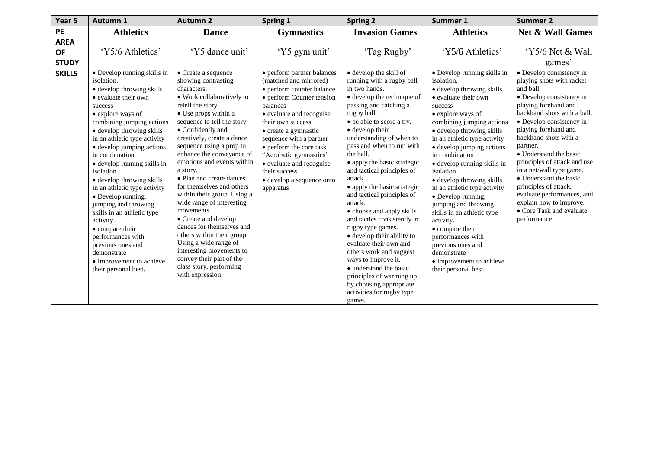| Year 5        | <b>Autumn 1</b>                          | <b>Autumn 2</b>                                         | Spring 1                               | <b>Spring 2</b>                                           | Summer 1                                 | <b>Summer 2</b>                                          |
|---------------|------------------------------------------|---------------------------------------------------------|----------------------------------------|-----------------------------------------------------------|------------------------------------------|----------------------------------------------------------|
| <b>PE</b>     | <b>Athletics</b>                         | <b>Dance</b>                                            | <b>Gymnastics</b>                      | <b>Invasion Games</b>                                     | <b>Athletics</b>                         | <b>Net &amp; Wall Games</b>                              |
| <b>AREA</b>   |                                          |                                                         |                                        |                                                           |                                          |                                                          |
| <b>OF</b>     | 'Y5/6 Athletics'                         | 'Y5 dance unit'                                         | 'Y5 gym unit'                          | 'Tag Rugby'                                               | 'Y5/6 Athletics'                         | 'Y5/6 Net & Wall                                         |
| <b>STUDY</b>  |                                          |                                                         |                                        |                                                           |                                          | games'                                                   |
| <b>SKILLS</b> | • Develop running skills in              | • Create a sequence                                     | • perform partner balances             | · develop the skill of                                    | • Develop running skills in              | • Develop consistency in                                 |
|               | isolation.                               | showing contrasting                                     | (matched and mirrored)                 | running with a rugby ball                                 | isolation.                               | playing shots with racket                                |
|               | • develop throwing skills                | characters.                                             | · perform counter balance              | in two hands.                                             | • develop throwing skills                | and ball.                                                |
|               | • evaluate their own                     | • Work collaboratively to                               | • perform Counter tension              | · develop the technique of                                | • evaluate their own                     | • Develop consistency in                                 |
|               | success                                  | retell the story.                                       | balances                               | passing and catching a                                    | success                                  | playing forehand and                                     |
|               | • explore ways of                        | • Use props within a                                    | • evaluate and recognise               | rugby ball.                                               | • explore ways of                        | backhand shots with a ball.                              |
|               | combining jumping actions                | sequence to tell the story.                             | their own success                      | • be able to score a try.                                 | combining jumping actions                | • Develop consistency in                                 |
|               | • develop throwing skills                | • Confidently and                                       | • create a gymnastic                   | • develop their                                           | • develop throwing skills                | playing forehand and                                     |
|               | in an athletic type activity             | creatively, create a dance                              | sequence with a partner                | understanding of when to                                  | in an athletic type activity             | backhand shots with a                                    |
|               | • develop jumping actions                | sequence using a prop to                                | $\bullet$ perform the core task        | pass and when to run with                                 | • develop jumping actions                | partner.                                                 |
|               | in combination                           | enhance the conveyance of<br>emotions and events within | "Acrobatic gymnastics"                 | the ball.                                                 | in combination                           | • Understand the basic                                   |
|               | • develop running skills in<br>isolation | a story.                                                | • evaluate and recognise               | • apply the basic strategic<br>and tactical principles of | · develop running skills in<br>isolation | principles of attack and use<br>in a net/wall type game. |
|               | • develop throwing skills                | • Plan and create dances                                | their success                          | attack.                                                   | • develop throwing skills                | • Understand the basic                                   |
|               | in an athletic type activity             | for themselves and others                               | • develop a sequence onto<br>apparatus | • apply the basic strategic                               | in an athletic type activity             | principles of attack,                                    |
|               | · Develop running,                       | within their group. Using a                             |                                        | and tactical principles of                                | • Develop running,                       | evaluate performances, and                               |
|               | jumping and throwing                     | wide range of interesting                               |                                        | attack.                                                   | jumping and throwing                     | explain how to improve.                                  |
|               | skills in an athletic type               | movements.                                              |                                        | • choose and apply skills                                 | skills in an athletic type               | • Core Task and evaluate                                 |
|               | activity.                                | • Create and develop                                    |                                        | and tactics consistently in                               | activity.                                | performance                                              |
|               | • compare their                          | dances for themselves and                               |                                        | rugby type games.                                         | • compare their                          |                                                          |
|               | performances with                        | others within their group.                              |                                        | • develop their ability to                                | performances with                        |                                                          |
|               | previous ones and                        | Using a wide range of                                   |                                        | evaluate their own and                                    | previous ones and                        |                                                          |
|               | demonstrate                              | interesting movements to<br>convey their part of the    |                                        | others work and suggest                                   | demonstrate                              |                                                          |
|               | • Improvement to achieve                 | class story, performing                                 |                                        | ways to improve it.<br>• understand the basic             | • Improvement to achieve                 |                                                          |
|               | their personal best.                     | with expression.                                        |                                        | principles of warming up                                  | their personal best.                     |                                                          |
|               |                                          |                                                         |                                        | by choosing appropriate                                   |                                          |                                                          |
|               |                                          |                                                         |                                        | activities for rugby type                                 |                                          |                                                          |
|               |                                          |                                                         |                                        | games.                                                    |                                          |                                                          |